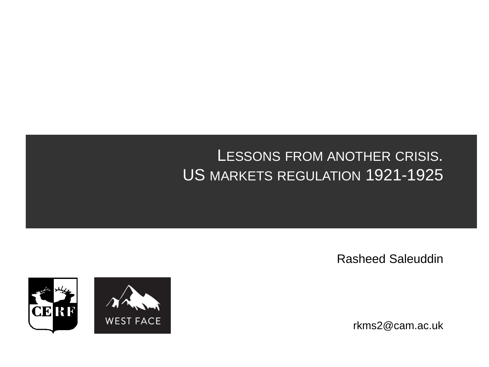#### LESSONS FROM ANOTHER CRISIS. US MARKETS REGULATION 1921-1925

Rasheed Saleuddin

rkms2@cam.ac.uk

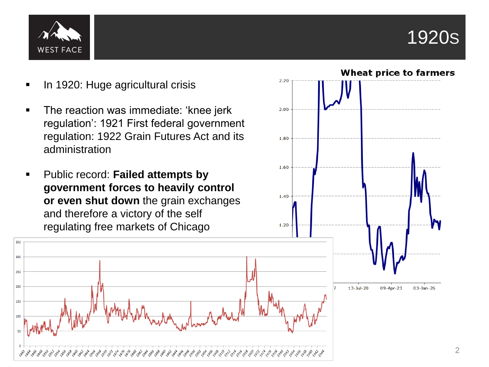

**Wheat price to farmers** 



- In 1920: Huge agricultural crisis
- The reaction was immediate: 'knee jerk regulation': 1921 First federal government regulation: 1922 Grain Futures Act and its administration
- Public record: **Failed attempts by government forces to heavily control or even shut down** the grain exchanges and therefore a victory of the self regulating free markets of Chicago



 $2.20$ 

2.00

1.80

1.60

1.40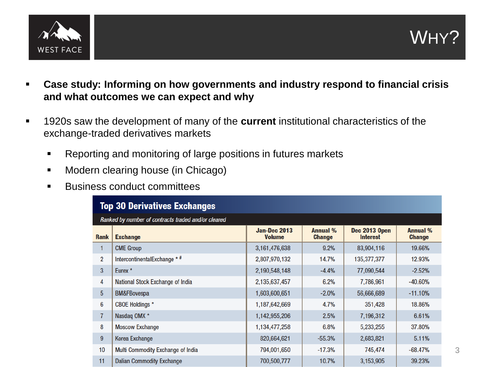

- **Case study: Informing on how governments and industry respond to financial crisis and what outcomes we can expect and why**
- 1920s saw the development of many of the **current** institutional characteristics of the exchange-traded derivatives markets
	- Reporting and monitoring of large positions in futures markets
	- **Modern clearing house (in Chicago)**
	- **Business conduct committees**

| <b>Top 30 Derivatives Exchanges</b>                 |                                   |                                      |                                  |                                         |                                  |
|-----------------------------------------------------|-----------------------------------|--------------------------------------|----------------------------------|-----------------------------------------|----------------------------------|
| Ranked by number of contracts traded and/or cleared |                                   |                                      |                                  |                                         |                                  |
| <b>Rank</b>                                         | <b>Exchange</b>                   | <b>Jan-Dec 2013</b><br><b>Volume</b> | <b>Annual %</b><br><b>Change</b> | <b>Dec 2013 Open</b><br><b>Interest</b> | <b>Annual %</b><br><b>Change</b> |
|                                                     | <b>CME Group</b>                  | 3, 161, 476, 638                     | 9.2%                             | 83,904,116                              | 19.66%                           |
| $\overline{2}$                                      | IntercontinentalExchange * #      | 2,807,970,132                        | 14.7%                            | 135,377,377                             | 12.93%                           |
| 3                                                   | Eurex <sup>*</sup>                | 2,190,548,148                        | $-4.4%$                          | 77.090.544                              | $-2.52%$                         |
| 4                                                   | National Stock Exchange of India  | 2,135,637,457                        | 6.2%                             | 7,786,961                               | $-40.60%$                        |
| 5                                                   | <b>BM&amp;FBovespa</b>            | 1,603,600,651                        | $-2.0%$                          | 56,666,689                              | $-11.10%$                        |
| 6                                                   | <b>CBOE Holdings</b> *            | 1,187,642,669                        | 4.7%                             | 351,428                                 | 18.86%                           |
| $\overline{7}$                                      | Nasdaq OMX *                      | 1,142,955,206                        | 2.5%                             | 7,196,312                               | 6.61%                            |
| 8                                                   | <b>Moscow Exchange</b>            | 1,134,477,258                        | 6.8%                             | 5,233,255                               | 37.80%                           |
| 9                                                   | Korea Exchange                    | 820,664,621                          | $-55.3%$                         | 2,683,821                               | 5.11%                            |
| 10                                                  | Multi Commodity Exchange of India | 794,001,650                          | $-17.3%$                         | 745,474                                 | $-68.47%$                        |
| 11                                                  | <b>Dalian Commodity Exchange</b>  | 700,500,777                          | 10.7%                            | 3,153,905                               | 39.23%                           |

WHY?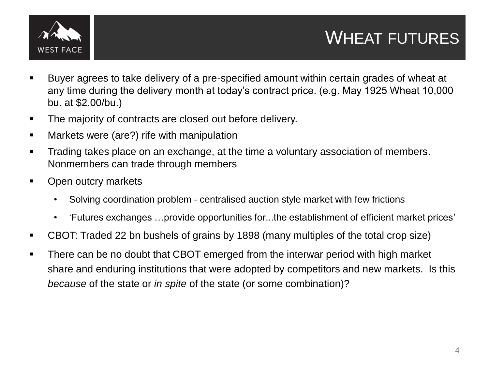

- Buyer agrees to take delivery of a pre-specified amount within certain grades of wheat at any time during the delivery month at today's contract price. (e.g. May 1925 Wheat 10,000 bu. at \$2.00/bu.)
- The majority of contracts are closed out before delivery.
- **EXED Markets were (are?) rife with manipulation**
- Trading takes place on an exchange, at the time a voluntary association of members. Nonmembers can trade through members
- Open outcry markets
	- Solving coordination problem centralised auction style market with few frictions
	- 'Futures exchanges …provide opportunities for...the establishment of efficient market prices'
- CBOT: Traded 22 bn bushels of grains by 1898 (many multiples of the total crop size)
- There can be no doubt that CBOT emerged from the interwar period with high market share and enduring institutions that were adopted by competitors and new markets. Is this *because* of the state or *in spite* of the state (or some combination)?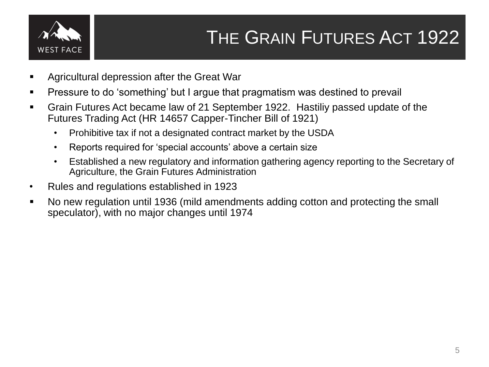

# THE GRAIN FUTURES ACT 1922

- Agricultural depression after the Great War
- **Pressure to do 'something' but I argue that pragmatism was destined to prevail**
- Grain Futures Act became law of 21 September 1922. Hastiliy passed update of the Futures Trading Act (HR 14657 Capper-Tincher Bill of 1921)
	- Prohibitive tax if not a designated contract market by the USDA
	- Reports required for 'special accounts' above a certain size
	- Established a new regulatory and information gathering agency reporting to the Secretary of Agriculture, the Grain Futures Administration
- Rules and regulations established in 1923
- No new regulation until 1936 (mild amendments adding cotton and protecting the small speculator), with no major changes until 1974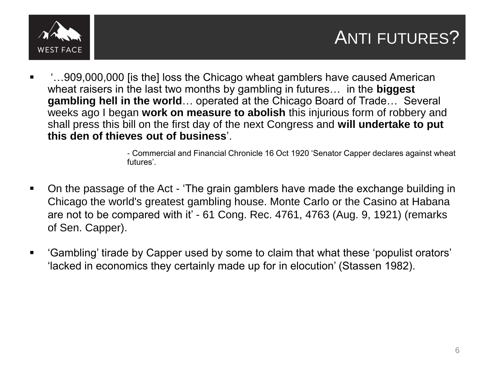

## ANTI FUTURES?

 '…909,000,000 [is the] loss the Chicago wheat gamblers have caused American wheat raisers in the last two months by gambling in futures… in the **biggest gambling hell in the world**… operated at the Chicago Board of Trade… Several weeks ago I began **work on measure to abolish** this injurious form of robbery and shall press this bill on the first day of the next Congress and **will undertake to put this den of thieves out of business**'.

> - Commercial and Financial Chronicle 16 Oct 1920 'Senator Capper declares against wheat futures'.

- On the passage of the Act 'The grain gamblers have made the exchange building in Chicago the world's greatest gambling house. Monte Carlo or the Casino at Habana are not to be compared with it' - 61 Cong. Rec. 4761, 4763 (Aug. 9, 1921) (remarks of Sen. Capper).
- 'Gambling' tirade by Capper used by some to claim that what these 'populist orators' 'lacked in economics they certainly made up for in elocution' (Stassen 1982).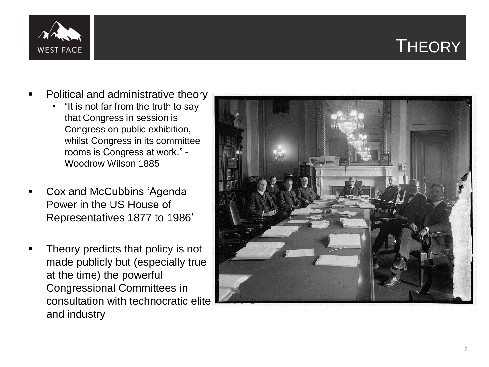### **THEORY**



- Political and administrative theory
	- "It is not far from the truth to say that Congress in session is Congress on public exhibition, whilst Congress in its committee rooms is Congress at work." - Woodrow Wilson 1885
- Cox and McCubbins 'Agenda Power in the US House of Representatives 1877 to 1986 '
- Theory predicts that policy is not made publicly but (especially true at the time) the powerful Congressional Committees in consultation with technocratic elite and industry

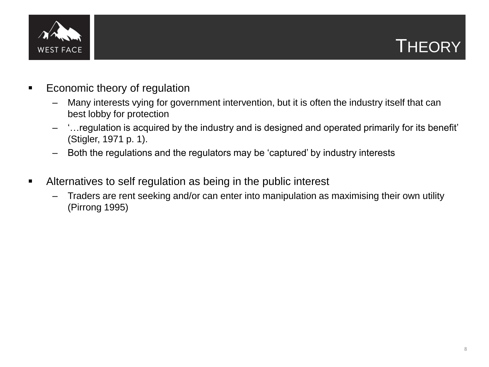

#### **THEORY**

- **Exercise Economic theory of regulation** 
	- Many interests vying for government intervention, but it is often the industry itself that can best lobby for protection
	- '…regulation is acquired by the industry and is designed and operated primarily for its benefit' (Stigler, 1971 p. 1).
	- Both the regulations and the regulators may be 'captured' by industry interests
- Alternatives to self regulation as being in the public interest
	- Traders are rent seeking and/or can enter into manipulation as maximising their own utility (Pirrong 1995)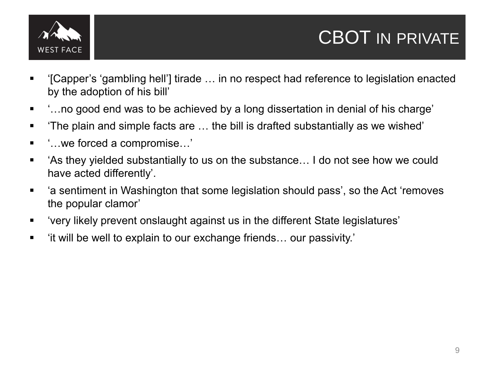

## CBOT IN PRIVATE

- '[Capper's 'gambling hell'] tirade … in no respect had reference to legislation enacted by the adoption of his bill'
- :…no good end was to be achieved by a long dissertation in denial of his charge'
- 'The plain and simple facts are … the bill is drafted substantially as we wished'
- '…we forced a compromise…'
- 'As they yielded substantially to us on the substance… I do not see how we could have acted differently'.
- 'a sentiment in Washington that some legislation should pass', so the Act 'removes the popular clamor'
- 'very likely prevent onslaught against us in the different State legislatures'
- 'it will be well to explain to our exchange friends… our passivity.'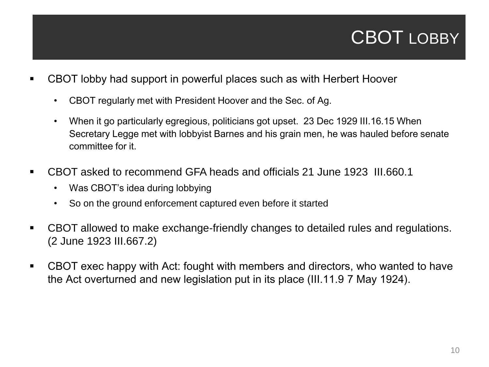## CBOT LOBBY

- CBOT lobby had support in powerful places such as with Herbert Hoover
	- CBOT regularly met with President Hoover and the Sec. of Ag.
	- When it go particularly egregious, politicians got upset. 23 Dec 1929 III.16.15 When Secretary Legge met with lobbyist Barnes and his grain men, he was hauled before senate committee for it.
- CBOT asked to recommend GFA heads and officials 21 June 1923 III.660.1
	- Was CBOT's idea during lobbying
	- So on the ground enforcement captured even before it started
- CBOT allowed to make exchange-friendly changes to detailed rules and regulations. (2 June 1923 III.667.2)
- CBOT exec happy with Act: fought with members and directors, who wanted to have the Act overturned and new legislation put in its place (III.11.9 7 May 1924).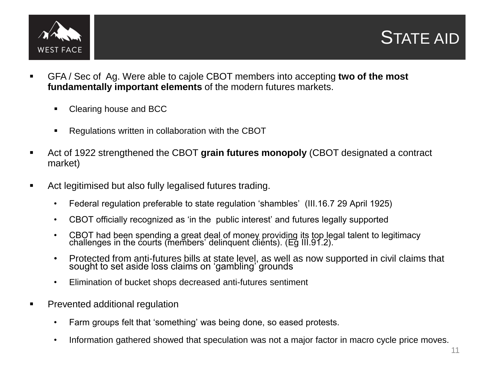



- GFA / Sec of Ag. Were able to cajole CBOT members into accepting **two of the most fundamentally important elements** of the modern futures markets.
	- Clearing house and BCC
	- **Regulations written in collaboration with the CBOT**
- Act of 1922 strengthened the CBOT **grain futures monopoly** (CBOT designated a contract market)
- Act legitimised but also fully legalised futures trading.
	- Federal regulation preferable to state regulation 'shambles' (III.16.7 29 April 1925)
	- CBOT officially recognized as 'in the public interest' and futures legally supported
	- CBOT had been spending a great deal of money providing its top legal talent to legitimacy challenges in the courts (members' delinquent clients). (Eg III.91.2).
	- Protected from anti-futures bills at state level, as well as now supported in civil claims that sought to set aside loss claims on 'gambling' grounds
	- Elimination of bucket shops decreased anti-futures sentiment
- **Prevented additional regulation** 
	- Farm groups felt that 'something' was being done, so eased protests.
	- Information gathered showed that speculation was not a major factor in macro cycle price moves.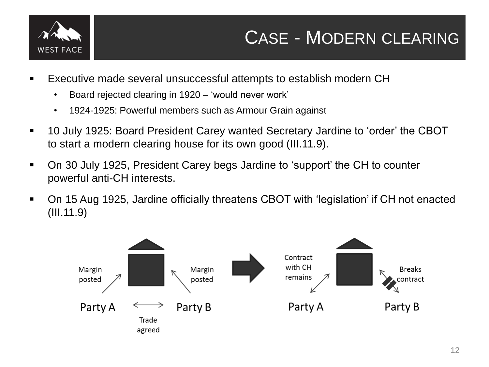

## CASE - MODERN CLEARING

- Executive made several unsuccessful attempts to establish modern CH
	- Board rejected clearing in 1920 'would never work'
	- 1924-1925: Powerful members such as Armour Grain against
- 10 July 1925: Board President Carey wanted Secretary Jardine to 'order' the CBOT to start a modern clearing house for its own good (III.11.9).
- On 30 July 1925, President Carey begs Jardine to 'support' the CH to counter powerful anti-CH interests.
- On 15 Aug 1925, Jardine officially threatens CBOT with 'legislation' if CH not enacted (III.11.9)

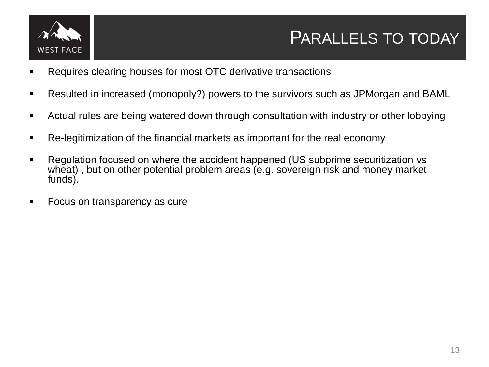

#### PARALLELS TO TODAY

- Requires clearing houses for most OTC derivative transactions
- Resulted in increased (monopoly?) powers to the survivors such as JPMorgan and BAML
- Actual rules are being watered down through consultation with industry or other lobbying
- Re-legitimization of the financial markets as important for the real economy
- Regulation focused on where the accident happened (US subprime securitization vs wheat), but on other potential problem areas (e.g. sovereign risk and money market funds).
- Focus on transparency as cure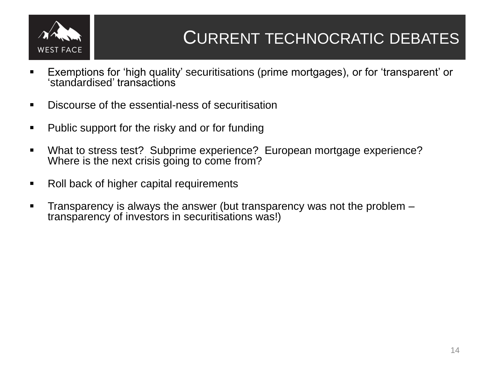

- Exemptions for 'high quality' securitisations (prime mortgages), or for 'transparent' or 'standardised' transactions
- **Discourse of the essential-ness of securitisation**
- Public support for the risky and or for funding
- What to stress test? Subprime experience? European mortgage experience? Where is the next crisis going to come from?
- Roll back of higher capital requirements
- Transparency is always the answer (but transparency was not the problem transparency of investors in securitisations was!)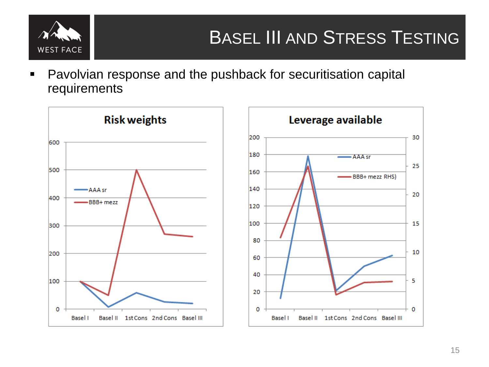

**Pavolvian response and the pushback for securitisation capital** requirements